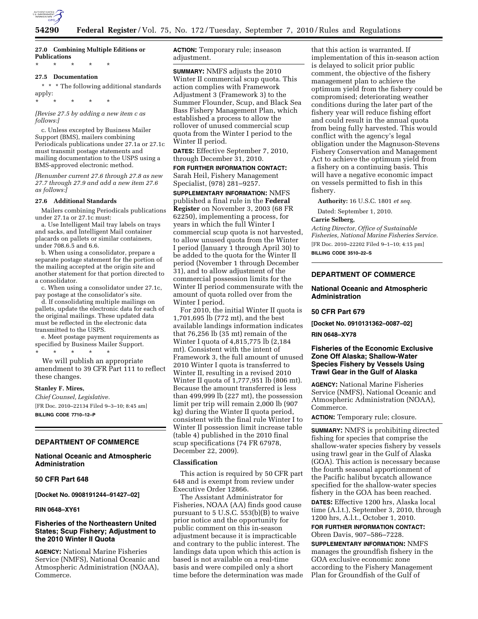

# **27.0 Combining Multiple Editions or Publications**

\* \* \* \* \*

\* \* \* \* \*

# **27.5 Documentation**

 $^{\star}~^{\star}~^{\star}~$  The following additional standards apply:

*[Revise 27.5 by adding a new item c as follows:]* 

c. Unless excepted by Business Mailer Support (BMS), mailers combining Periodicals publications under 27.1a or 27.1c must transmit postage statements and mailing documentation to the USPS using a BMS-approved electronic method.

*[Renumber current 27.6 through 27.8 as new 27.7 through 27.9 and add a new item 27.6 as follows:]* 

#### **27.6 Additional Standards**

Mailers combining Periodicals publications under 27.1a or 27.1c must:

a. Use Intelligent Mail tray labels on trays and sacks, and Intelligent Mail container placards on pallets or similar containers, under 708.6.5 and 6.6.

b. When using a consolidator, prepare a separate postage statement for the portion of the mailing accepted at the origin site and another statement for that portion directed to a consolidator.

c. When using a consolidator under 27.1c, pay postage at the consolidator's site.

d. If consolidating multiple mailings on pallets, update the electronic data for each of the original mailings. These updated data must be reflected in the electronic data transmitted to the USPS.

e. Meet postage payment requirements as specified by Business Mailer Support.

\* \* \* \* \* We will publish an appropriate amendment to 39 CFR Part 111 to reflect these changes.

#### **Stanley F. Mires,**

*Chief Counsel, Legislative.*  [FR Doc. 2010–22134 Filed 9–3–10; 8:45 am] **BILLING CODE 7710–12–P** 

# **DEPARTMENT OF COMMERCE**

# **National Oceanic and Atmospheric Administration**

### **50 CFR Part 648**

**[Docket No. 0908191244–91427–02]** 

### **RIN 0648–XY61**

## **Fisheries of the Northeastern United States; Scup Fishery; Adjustment to the 2010 Winter II Quota**

**AGENCY:** National Marine Fisheries Service (NMFS), National Oceanic and Atmospheric Administration (NOAA), Commerce.

**ACTION:** Temporary rule; inseason adjustment.

**SUMMARY:** NMFS adjusts the 2010 Winter II commercial scup quota. This action complies with Framework Adjustment 3 (Framework 3) to the Summer Flounder, Scup, and Black Sea Bass Fishery Management Plan, which established a process to allow the rollover of unused commercial scup quota from the Winter I period to the Winter II period.

**DATES:** Effective September 7, 2010, through December 31, 2010.

**FOR FURTHER INFORMATION CONTACT:**  Sarah Heil, Fishery Management Specialist, (978) 281–9257.

**SUPPLEMENTARY INFORMATION:** NMFS published a final rule in the **Federal Register** on November 3, 2003 (68 FR 62250), implementing a process, for years in which the full Winter I commercial scup quota is not harvested, to allow unused quota from the Winter I period (January 1 through April 30) to be added to the quota for the Winter II period (November 1 through December 31), and to allow adjustment of the commercial possession limits for the Winter II period commensurate with the amount of quota rolled over from the Winter I period.

For 2010, the initial Winter II quota is 1,701,695 lb (772 mt), and the best available landings information indicates that 76,256 lb (35 mt) remain of the Winter I quota of 4,815,775 lb (2,184 mt). Consistent with the intent of Framework 3, the full amount of unused 2010 Winter I quota is transferred to Winter II, resulting in a revised 2010 Winter II quota of 1,777,951 lb (806 mt). Because the amount transferred is less than 499,999 lb (227 mt), the possession limit per trip will remain 2,000 lb (907 kg) during the Winter II quota period, consistent with the final rule Winter I to Winter II possession limit increase table (table 4) published in the 2010 final scup specifications (74 FR 67978, December 22, 2009).

### **Classification**

This action is required by 50 CFR part 648 and is exempt from review under Executive Order 12866.

The Assistant Administrator for Fisheries, NOAA (AA) finds good cause pursuant to 5 U.S.C. 553(b)(B) to waive prior notice and the opportunity for public comment on this in-season adjustment because it is impracticable and contrary to the public interest. The landings data upon which this action is based is not available on a real-time basis and were compiled only a short time before the determination was made

that this action is warranted. If implementation of this in-season action is delayed to solicit prior public comment, the objective of the fishery management plan to achieve the optimum yield from the fishery could be compromised; deteriorating weather conditions during the later part of the fishery year will reduce fishing effort and could result in the annual quota from being fully harvested. This would conflict with the agency's legal obligation under the Magnuson-Stevens Fishery Conservation and Management Act to achieve the optimum yield from a fishery on a continuing basis. This will have a negative economic impact on vessels permitted to fish in this fishery.

**Authority:** 16 U.S.C. 1801 *et seq.* 

Dated: September 1, 2010.

#### **Carrie Selberg,**

*Acting Director, Office of Sustainable Fisheries, National Marine Fisheries Service.*  [FR Doc. 2010–22202 Filed 9–1–10; 4:15 pm] **BILLING CODE 3510–22–S** 

# **DEPARTMENT OF COMMERCE**

## **National Oceanic and Atmospheric Administration**

## **50 CFR Part 679**

**[Docket No. 0910131362–0087–02]** 

### **RIN 0648–XY78**

## **Fisheries of the Economic Exclusive Zone Off Alaska; Shallow-Water Species Fishery by Vessels Using Trawl Gear in the Gulf of Alaska**

**AGENCY:** National Marine Fisheries Service (NMFS), National Oceanic and Atmospheric Administration (NOAA), Commerce.

**ACTION:** Temporary rule; closure.

**SUMMARY:** NMFS is prohibiting directed fishing for species that comprise the shallow-water species fishery by vessels using trawl gear in the Gulf of Alaska (GOA). This action is necessary because the fourth seasonal apportionment of the Pacific halibut bycatch allowance specified for the shallow-water species fishery in the GOA has been reached.

**DATES:** Effective 1200 hrs, Alaska local time (A.l.t.), September 3, 2010, through 1200 hrs, A.l.t., October 1, 2010.

**FOR FURTHER INFORMATION CONTACT:**  Obren Davis, 907–586–7228.

**SUPPLEMENTARY INFORMATION:** NMFS manages the groundfish fishery in the GOA exclusive economic zone according to the Fishery Management Plan for Groundfish of the Gulf of